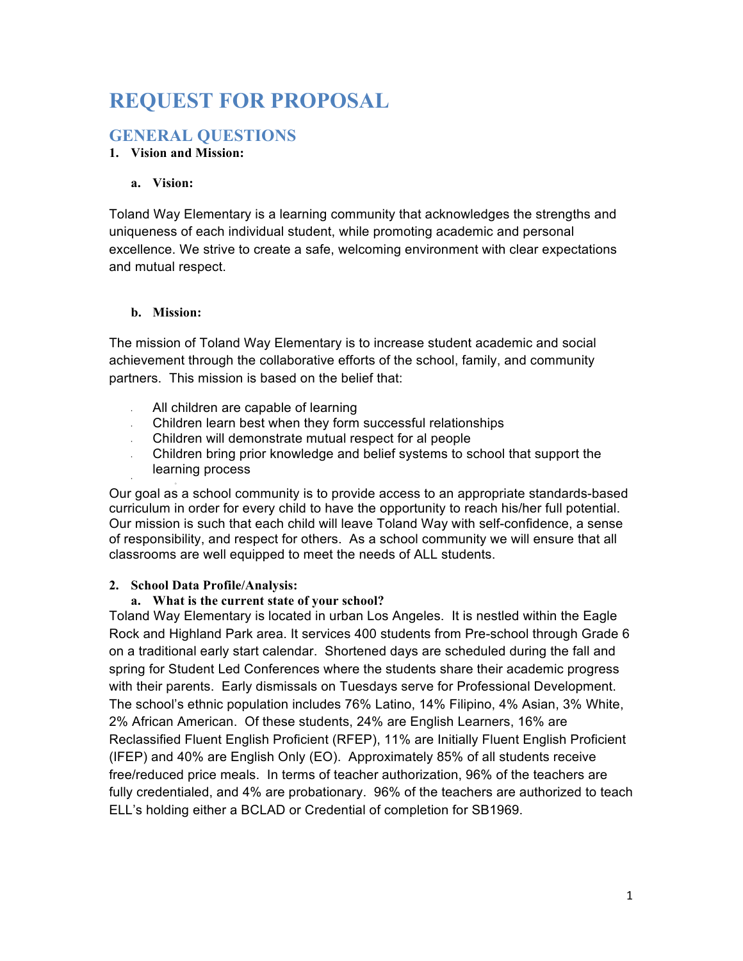# **REQUEST FOR PROPOSAL**

# **GENERAL QUESTIONS**

#### **1. Vision and Mission:**

#### **a. Vision:**

Toland Way Elementary is a learning community that acknowledges the strengths and uniqueness of each individual student, while promoting academic and personal excellence. We strive to create a safe, welcoming environment with clear expectations and mutual respect.

#### **b. Mission:**

•

The mission of Toland Way Elementary is to increase student academic and social achievement through the collaborative efforts of the school, family, and community partners. This mission is based on the belief that:

- All children are capable of learning
- Children learn best when they form successful relationships
- Children will demonstrate mutual respect for al people
- Children bring prior knowledge and belief systems to school that support the learning process

Our goal as a school community is to provide access to an appropriate standards-based curriculum in order for every child to have the opportunity to reach his/her full potential. Our mission is such that each child will leave Toland Way with self-confidence, a sense of responsibility, and respect for others. As a school community we will ensure that all classrooms are well equipped to meet the needs of ALL students.

#### **2. School Data Profile/Analysis:**

#### **a. What is the current state of your school?**

Toland Way Elementary is located in urban Los Angeles. It is nestled within the Eagle Rock and Highland Park area. It services 400 students from Pre-school through Grade 6 on a traditional early start calendar. Shortened days are scheduled during the fall and spring for Student Led Conferences where the students share their academic progress with their parents. Early dismissals on Tuesdays serve for Professional Development. The school's ethnic population includes 76% Latino, 14% Filipino, 4% Asian, 3% White, 2% African American. Of these students, 24% are English Learners, 16% are Reclassified Fluent English Proficient (RFEP), 11% are Initially Fluent English Proficient (IFEP) and 40% are English Only (EO). Approximately 85% of all students receive free/reduced price meals. In terms of teacher authorization, 96% of the teachers are fully credentialed, and 4% are probationary. 96% of the teachers are authorized to teach ELL's holding either a BCLAD or Credential of completion for SB1969.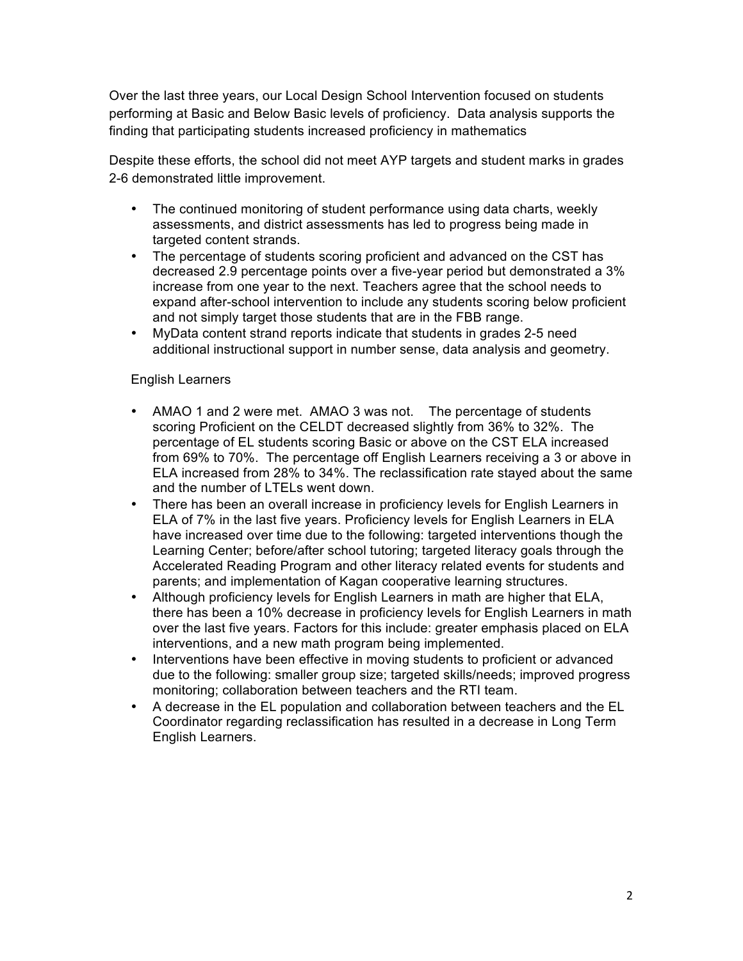Over the last three years, our Local Design School Intervention focused on students performing at Basic and Below Basic levels of proficiency. Data analysis supports the finding that participating students increased proficiency in mathematics

Despite these efforts, the school did not meet AYP targets and student marks in grades 2-6 demonstrated little improvement.

- The continued monitoring of student performance using data charts, weekly assessments, and district assessments has led to progress being made in targeted content strands.
- The percentage of students scoring proficient and advanced on the CST has decreased 2.9 percentage points over a five-year period but demonstrated a 3% increase from one year to the next. Teachers agree that the school needs to expand after-school intervention to include any students scoring below proficient and not simply target those students that are in the FBB range.
- MyData content strand reports indicate that students in grades 2-5 need additional instructional support in number sense, data analysis and geometry.

#### English Learners

- AMAO 1 and 2 were met. AMAO 3 was not. The percentage of students scoring Proficient on the CELDT decreased slightly from 36% to 32%. The percentage of EL students scoring Basic or above on the CST ELA increased from 69% to 70%. The percentage off English Learners receiving a 3 or above in ELA increased from 28% to 34%. The reclassification rate stayed about the same and the number of LTELs went down.
- There has been an overall increase in proficiency levels for English Learners in ELA of 7% in the last five years. Proficiency levels for English Learners in ELA have increased over time due to the following: targeted interventions though the Learning Center; before/after school tutoring; targeted literacy goals through the Accelerated Reading Program and other literacy related events for students and parents; and implementation of Kagan cooperative learning structures.
- Although proficiency levels for English Learners in math are higher that ELA, there has been a 10% decrease in proficiency levels for English Learners in math over the last five years. Factors for this include: greater emphasis placed on ELA interventions, and a new math program being implemented.
- Interventions have been effective in moving students to proficient or advanced due to the following: smaller group size; targeted skills/needs; improved progress monitoring; collaboration between teachers and the RTI team.
- A decrease in the EL population and collaboration between teachers and the EL Coordinator regarding reclassification has resulted in a decrease in Long Term English Learners.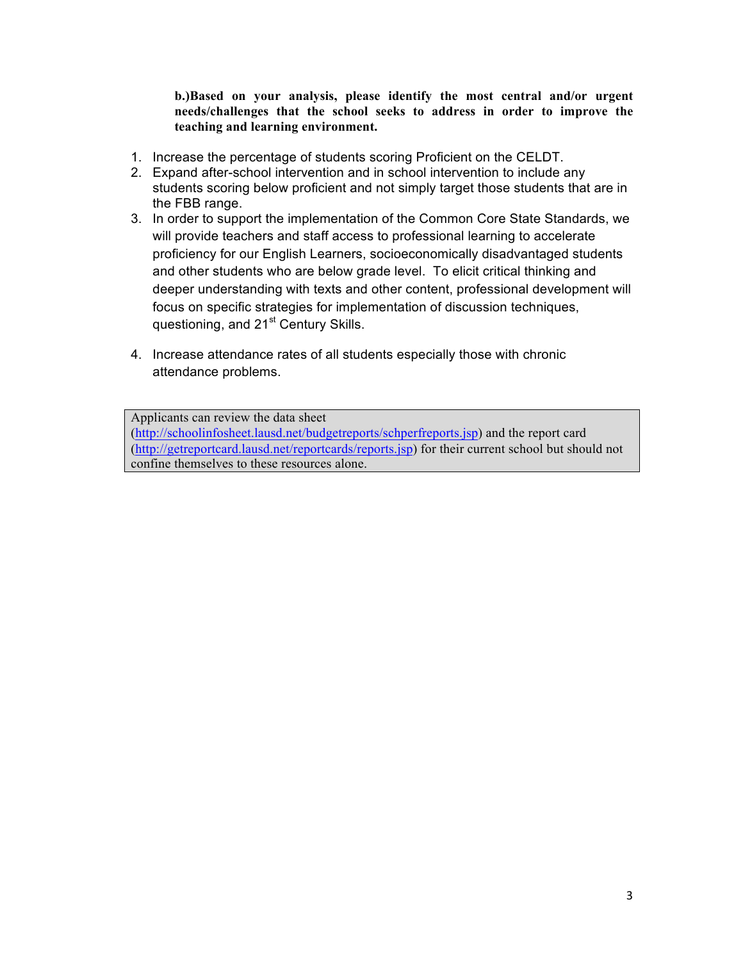**b.)Based on your analysis, please identify the most central and/or urgent needs/challenges that the school seeks to address in order to improve the teaching and learning environment.** 

- 1. Increase the percentage of students scoring Proficient on the CELDT.
- 2. Expand after-school intervention and in school intervention to include any students scoring below proficient and not simply target those students that are in the FBB range.
- 3. In order to support the implementation of the Common Core State Standards, we will provide teachers and staff access to professional learning to accelerate proficiency for our English Learners, socioeconomically disadvantaged students and other students who are below grade level. To elicit critical thinking and deeper understanding with texts and other content, professional development will focus on specific strategies for implementation of discussion techniques, questioning, and 21<sup>st</sup> Century Skills.
- 4. Increase attendance rates of all students especially those with chronic attendance problems.

Applicants can review the data sheet

(http://schoolinfosheet.lausd.net/budgetreports/schperfreports.jsp) and the report card (http://getreportcard.lausd.net/reportcards/reports.jsp) for their current school but should not confine themselves to these resources alone.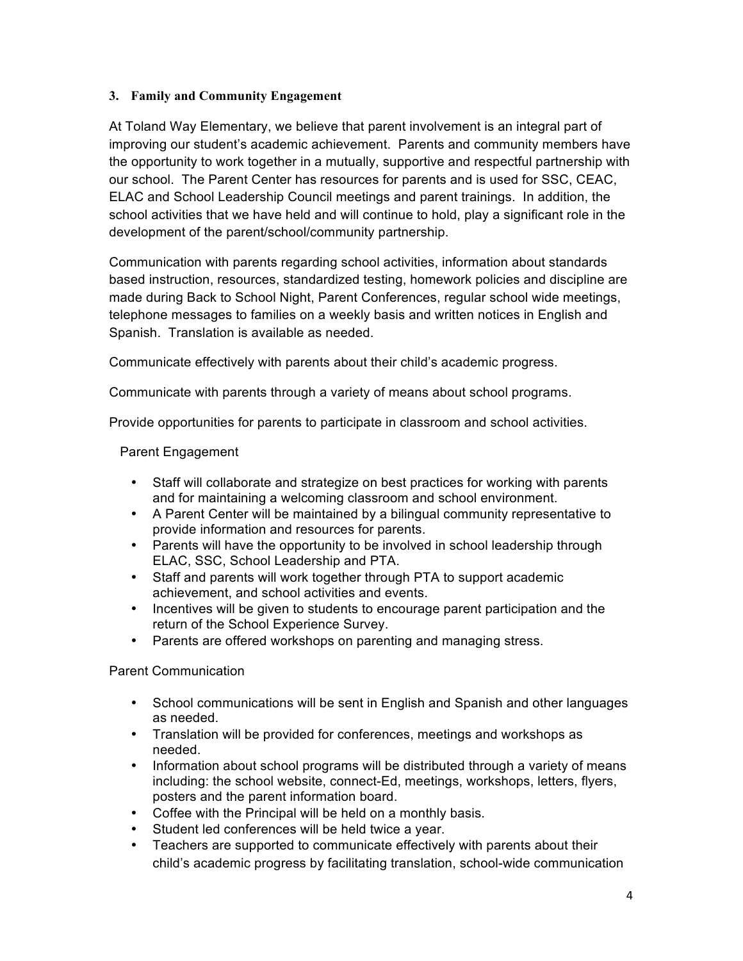#### **3. Family and Community Engagement**

At Toland Way Elementary, we believe that parent involvement is an integral part of improving our student's academic achievement. Parents and community members have the opportunity to work together in a mutually, supportive and respectful partnership with our school. The Parent Center has resources for parents and is used for SSC, CEAC, ELAC and School Leadership Council meetings and parent trainings. In addition, the school activities that we have held and will continue to hold, play a significant role in the development of the parent/school/community partnership.

Communication with parents regarding school activities, information about standards based instruction, resources, standardized testing, homework policies and discipline are made during Back to School Night, Parent Conferences, regular school wide meetings, telephone messages to families on a weekly basis and written notices in English and Spanish. Translation is available as needed.

Communicate effectively with parents about their child's academic progress.

Communicate with parents through a variety of means about school programs.

Provide opportunities for parents to participate in classroom and school activities.

#### Parent Engagement

- Staff will collaborate and strategize on best practices for working with parents and for maintaining a welcoming classroom and school environment.
- A Parent Center will be maintained by a bilingual community representative to provide information and resources for parents.
- Parents will have the opportunity to be involved in school leadership through ELAC, SSC, School Leadership and PTA.
- Staff and parents will work together through PTA to support academic achievement, and school activities and events.
- Incentives will be given to students to encourage parent participation and the return of the School Experience Survey.
- Parents are offered workshops on parenting and managing stress.

#### Parent Communication

- School communications will be sent in English and Spanish and other languages as needed.
- Translation will be provided for conferences, meetings and workshops as needed.
- Information about school programs will be distributed through a variety of means including: the school website, connect-Ed, meetings, workshops, letters, flyers, posters and the parent information board.
- Coffee with the Principal will be held on a monthly basis.
- Student led conferences will be held twice a year.
- Teachers are supported to communicate effectively with parents about their child's academic progress by facilitating translation, school-wide communication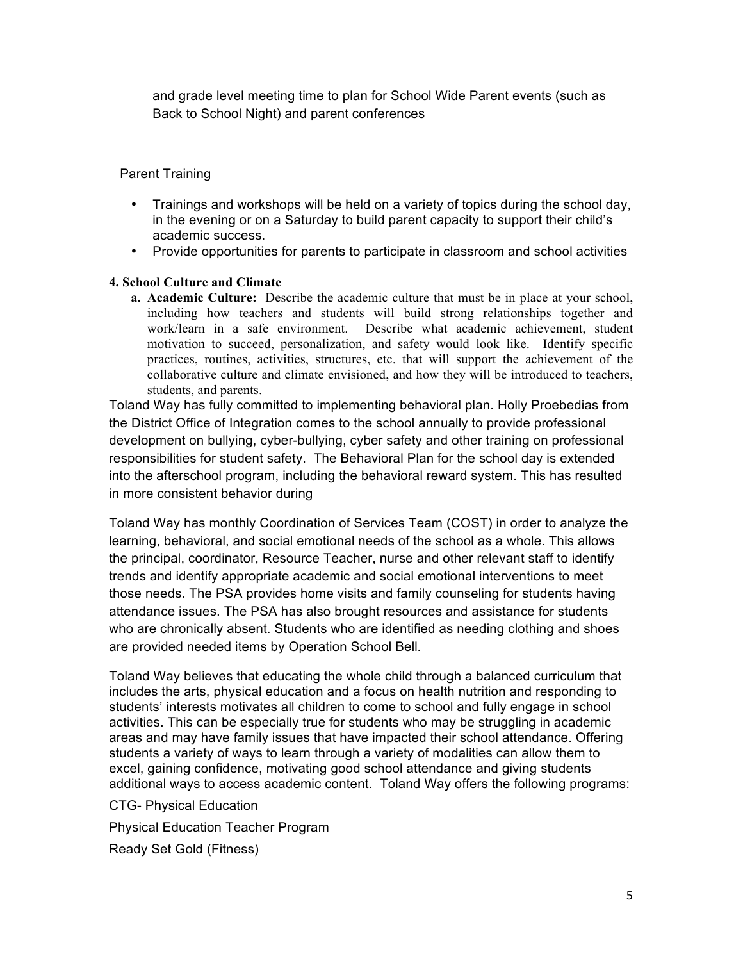and grade level meeting time to plan for School Wide Parent events (such as Back to School Night) and parent conferences

#### Parent Training

- Trainings and workshops will be held on a variety of topics during the school day, in the evening or on a Saturday to build parent capacity to support their child's academic success.
- Provide opportunities for parents to participate in classroom and school activities

#### **4. School Culture and Climate**

**a. Academic Culture:** Describe the academic culture that must be in place at your school, including how teachers and students will build strong relationships together and work/learn in a safe environment. Describe what academic achievement, student motivation to succeed, personalization, and safety would look like. Identify specific practices, routines, activities, structures, etc. that will support the achievement of the collaborative culture and climate envisioned, and how they will be introduced to teachers, students, and parents.

Toland Way has fully committed to implementing behavioral plan. Holly Proebedias from the District Office of Integration comes to the school annually to provide professional development on bullying, cyber-bullying, cyber safety and other training on professional responsibilities for student safety. The Behavioral Plan for the school day is extended into the afterschool program, including the behavioral reward system. This has resulted in more consistent behavior during

Toland Way has monthly Coordination of Services Team (COST) in order to analyze the learning, behavioral, and social emotional needs of the school as a whole. This allows the principal, coordinator, Resource Teacher, nurse and other relevant staff to identify trends and identify appropriate academic and social emotional interventions to meet those needs. The PSA provides home visits and family counseling for students having attendance issues. The PSA has also brought resources and assistance for students who are chronically absent. Students who are identified as needing clothing and shoes are provided needed items by Operation School Bell*.* 

Toland Way believes that educating the whole child through a balanced curriculum that includes the arts, physical education and a focus on health nutrition and responding to students' interests motivates all children to come to school and fully engage in school activities. This can be especially true for students who may be struggling in academic areas and may have family issues that have impacted their school attendance. Offering students a variety of ways to learn through a variety of modalities can allow them to excel, gaining confidence, motivating good school attendance and giving students additional ways to access academic content. Toland Way offers the following programs:

CTG- Physical Education Physical Education Teacher Program Ready Set Gold (Fitness)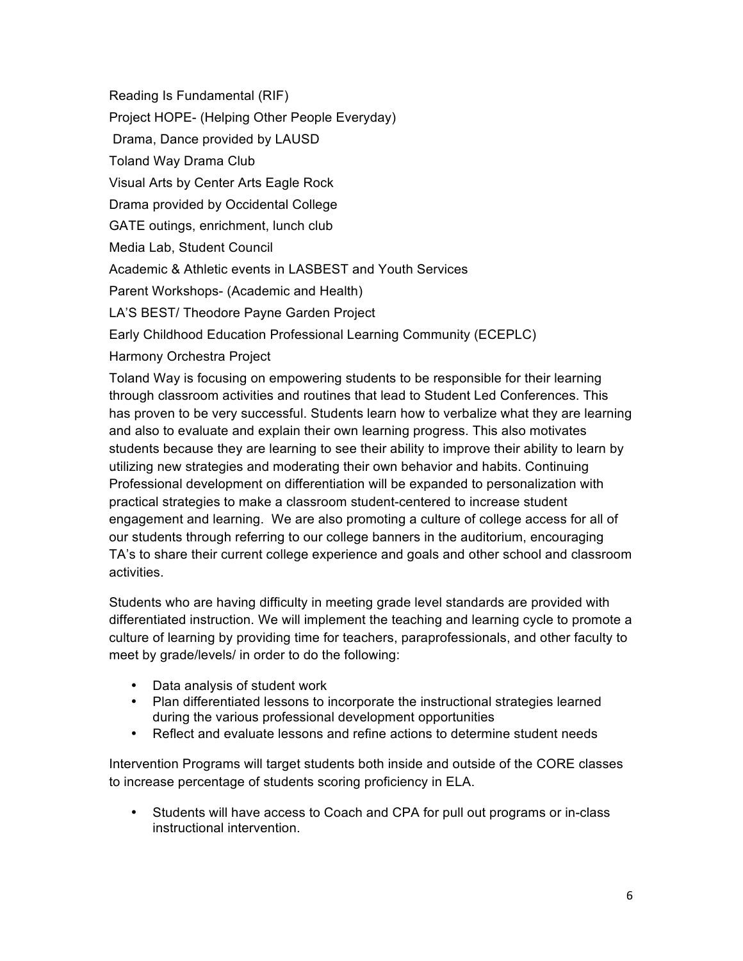Reading Is Fundamental (RIF) Project HOPE- (Helping Other People Everyday) Drama, Dance provided by LAUSD Toland Way Drama Club Visual Arts by Center Arts Eagle Rock Drama provided by Occidental College GATE outings, enrichment, lunch club Media Lab, Student Council Academic & Athletic events in LASBEST and Youth Services Parent Workshops- (Academic and Health) LA'S BEST/ Theodore Payne Garden Project Early Childhood Education Professional Learning Community (ECEPLC)

Harmony Orchestra Project

Toland Way is focusing on empowering students to be responsible for their learning through classroom activities and routines that lead to Student Led Conferences. This has proven to be very successful. Students learn how to verbalize what they are learning and also to evaluate and explain their own learning progress. This also motivates students because they are learning to see their ability to improve their ability to learn by utilizing new strategies and moderating their own behavior and habits. Continuing Professional development on differentiation will be expanded to personalization with practical strategies to make a classroom student-centered to increase student engagement and learning. We are also promoting a culture of college access for all of our students through referring to our college banners in the auditorium, encouraging TA's to share their current college experience and goals and other school and classroom activities.

Students who are having difficulty in meeting grade level standards are provided with differentiated instruction. We will implement the teaching and learning cycle to promote a culture of learning by providing time for teachers, paraprofessionals, and other faculty to meet by grade/levels/ in order to do the following:

- Data analysis of student work
- Plan differentiated lessons to incorporate the instructional strategies learned during the various professional development opportunities
- Reflect and evaluate lessons and refine actions to determine student needs

Intervention Programs will target students both inside and outside of the CORE classes to increase percentage of students scoring proficiency in ELA.

• Students will have access to Coach and CPA for pull out programs or in-class instructional intervention.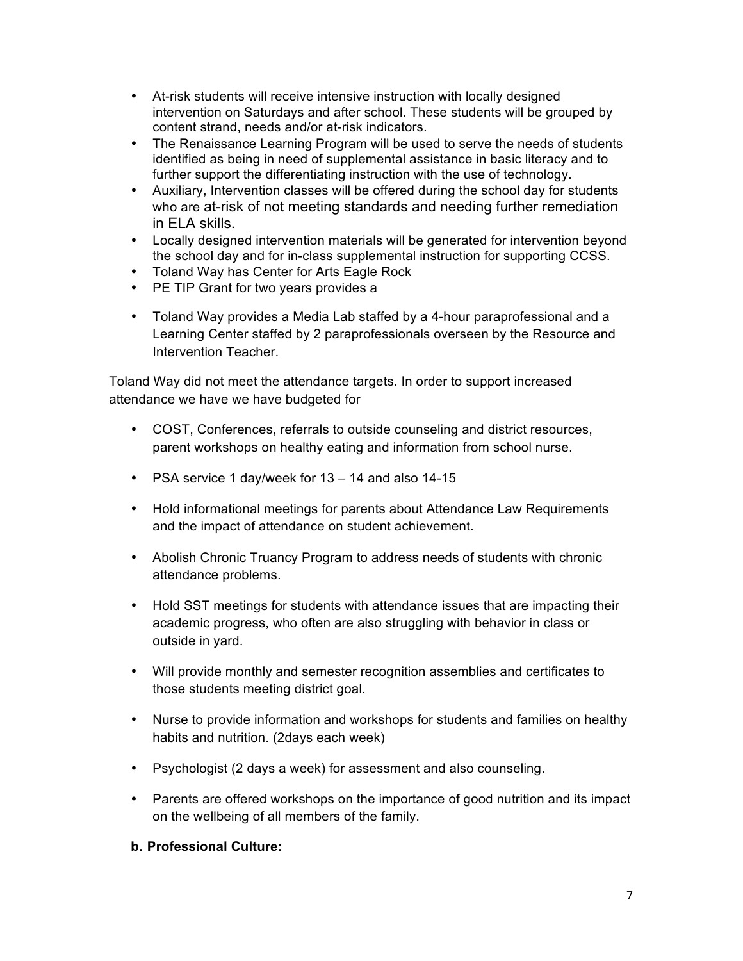- At-risk students will receive intensive instruction with locally designed intervention on Saturdays and after school. These students will be grouped by content strand, needs and/or at-risk indicators.
- The Renaissance Learning Program will be used to serve the needs of students identified as being in need of supplemental assistance in basic literacy and to further support the differentiating instruction with the use of technology.
- Auxiliary, Intervention classes will be offered during the school day for students who are at-risk of not meeting standards and needing further remediation in ELA skills.
- Locally designed intervention materials will be generated for intervention beyond the school day and for in-class supplemental instruction for supporting CCSS.
- Toland Way has Center for Arts Eagle Rock
- PE TIP Grant for two years provides a
- Toland Way provides a Media Lab staffed by a 4-hour paraprofessional and a Learning Center staffed by 2 paraprofessionals overseen by the Resource and Intervention Teacher.

Toland Way did not meet the attendance targets. In order to support increased attendance we have we have budgeted for

- COST, Conferences, referrals to outside counseling and district resources, parent workshops on healthy eating and information from school nurse.
- PSA service 1 day/week for 13 14 and also 14-15
- Hold informational meetings for parents about Attendance Law Requirements and the impact of attendance on student achievement.
- Abolish Chronic Truancy Program to address needs of students with chronic attendance problems.
- Hold SST meetings for students with attendance issues that are impacting their academic progress, who often are also struggling with behavior in class or outside in yard.
- Will provide monthly and semester recognition assemblies and certificates to those students meeting district goal.
- Nurse to provide information and workshops for students and families on healthy habits and nutrition. (2days each week)
- Psychologist (2 days a week) for assessment and also counseling.
- Parents are offered workshops on the importance of good nutrition and its impact on the wellbeing of all members of the family.

#### **b. Professional Culture:**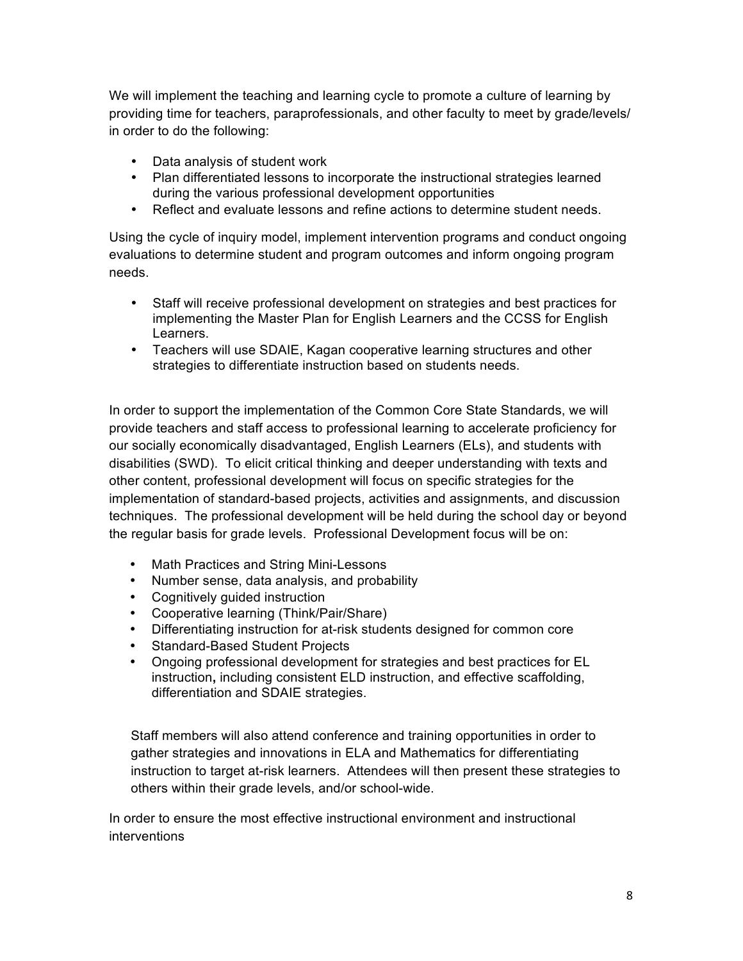We will implement the teaching and learning cycle to promote a culture of learning by providing time for teachers, paraprofessionals, and other faculty to meet by grade/levels/ in order to do the following:

- Data analysis of student work
- Plan differentiated lessons to incorporate the instructional strategies learned during the various professional development opportunities
- Reflect and evaluate lessons and refine actions to determine student needs.

Using the cycle of inquiry model, implement intervention programs and conduct ongoing evaluations to determine student and program outcomes and inform ongoing program needs.

- Staff will receive professional development on strategies and best practices for implementing the Master Plan for English Learners and the CCSS for English Learners.
- Teachers will use SDAIE, Kagan cooperative learning structures and other strategies to differentiate instruction based on students needs.

In order to support the implementation of the Common Core State Standards, we will provide teachers and staff access to professional learning to accelerate proficiency for our socially economically disadvantaged, English Learners (ELs), and students with disabilities (SWD). To elicit critical thinking and deeper understanding with texts and other content, professional development will focus on specific strategies for the implementation of standard-based projects, activities and assignments, and discussion techniques. The professional development will be held during the school day or beyond the regular basis for grade levels. Professional Development focus will be on:

- Math Practices and String Mini-Lessons
- Number sense, data analysis, and probability
- Cognitively guided instruction
- Cooperative learning (Think/Pair/Share)
- Differentiating instruction for at-risk students designed for common core
- Standard-Based Student Projects
- Ongoing professional development for strategies and best practices for EL instruction**,** including consistent ELD instruction, and effective scaffolding, differentiation and SDAIE strategies.

Staff members will also attend conference and training opportunities in order to gather strategies and innovations in ELA and Mathematics for differentiating instruction to target at-risk learners. Attendees will then present these strategies to others within their grade levels, and/or school-wide.

In order to ensure the most effective instructional environment and instructional interventions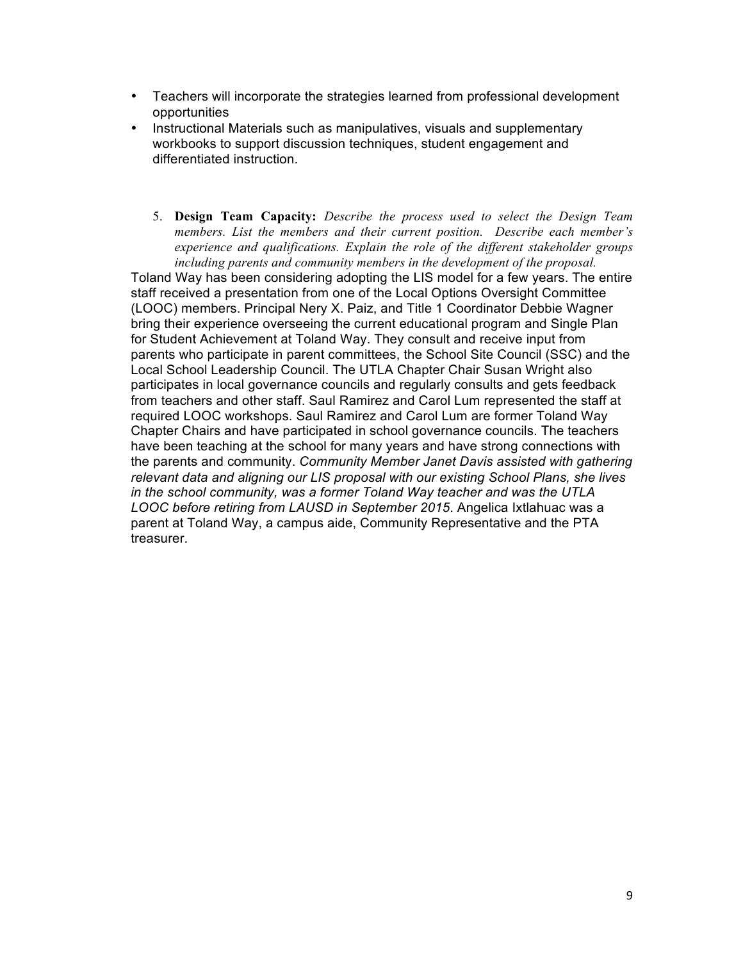- Teachers will incorporate the strategies learned from professional development opportunities
- Instructional Materials such as manipulatives, visuals and supplementary workbooks to support discussion techniques, student engagement and differentiated instruction.
	- 5. **Design Team Capacity:** *Describe the process used to select the Design Team members. List the members and their current position. Describe each member's experience and qualifications. Explain the role of the different stakeholder groups including parents and community members in the development of the proposal.*

Toland Way has been considering adopting the LIS model for a few years. The entire staff received a presentation from one of the Local Options Oversight Committee (LOOC) members. Principal Nery X. Paiz, and Title 1 Coordinator Debbie Wagner bring their experience overseeing the current educational program and Single Plan for Student Achievement at Toland Way. They consult and receive input from parents who participate in parent committees, the School Site Council (SSC) and the Local School Leadership Council. The UTLA Chapter Chair Susan Wright also participates in local governance councils and regularly consults and gets feedback from teachers and other staff. Saul Ramirez and Carol Lum represented the staff at required LOOC workshops. Saul Ramirez and Carol Lum are former Toland Way Chapter Chairs and have participated in school governance councils. The teachers have been teaching at the school for many years and have strong connections with the parents and community. *Community Member Janet Davis assisted with gathering relevant data and aligning our LIS proposal with our existing School Plans, she lives in the school community, was a former Toland Way teacher and was the UTLA LOOC before retiring from LAUSD in September 2015*. Angelica Ixtlahuac was a parent at Toland Way, a campus aide, Community Representative and the PTA treasurer.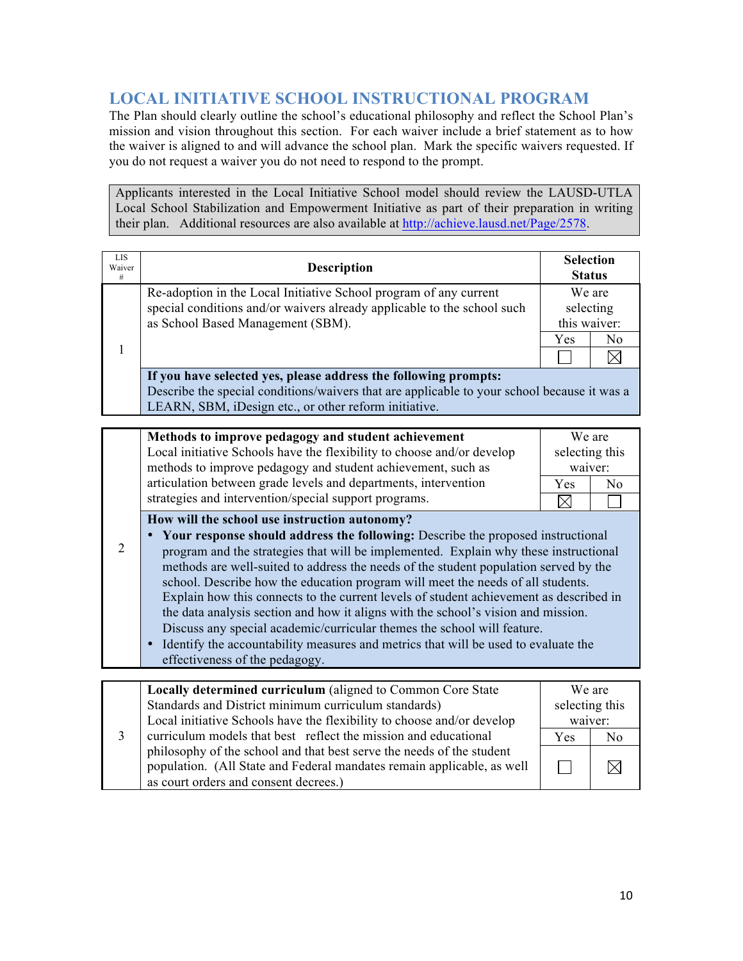# **LOCAL INITIATIVE SCHOOL INSTRUCTIONAL PROGRAM**

The Plan should clearly outline the school's educational philosophy and reflect the School Plan's mission and vision throughout this section. For each waiver include a brief statement as to how the waiver is aligned to and will advance the school plan. Mark the specific waivers requested. If you do not request a waiver you do not need to respond to the prompt.

Applicants interested in the Local Initiative School model should review the LAUSD-UTLA Local School Stabilization and Empowerment Initiative as part of their preparation in writing their plan. Additional resources are also available at http://achieve.lausd.net/Page/2578.

| <b>LIS</b><br>Waiver<br># | <b>Description</b>                                                                                                                                                                                                      | <b>Selection</b><br><b>Status</b> |                                     |
|---------------------------|-------------------------------------------------------------------------------------------------------------------------------------------------------------------------------------------------------------------------|-----------------------------------|-------------------------------------|
|                           | Re-adoption in the Local Initiative School program of any current<br>special conditions and/or waivers already applicable to the school such<br>as School Based Management (SBM).                                       |                                   | We are<br>selecting<br>this waiver: |
|                           |                                                                                                                                                                                                                         | <b>Yes</b>                        | N <sub>0</sub>                      |
|                           |                                                                                                                                                                                                                         |                                   |                                     |
|                           | If you have selected yes, please address the following prompts:<br>Describe the special conditions/waivers that are applicable to your school because it was a<br>LEARN, SBM, iDesign etc., or other reform initiative. |                                   |                                     |
|                           |                                                                                                                                                                                                                         |                                   |                                     |
|                           | Methods to improve pedagogy and student achievement                                                                                                                                                                     | We are                            |                                     |

| Methods to improve pedagogy and student achievement                    |                | We are  |
|------------------------------------------------------------------------|----------------|---------|
| Local initiative Schools have the flexibility to choose and/or develop | selecting this |         |
| methods to improve pedagogy and student achievement, such as           |                | waiver: |
| articulation between grade levels and departments, intervention        | Yes            | No      |
| strategies and intervention/special support programs.                  |                |         |

**How will the school use instruction autonomy?** 

- 2 • **Your response should address the following:** Describe the proposed instructional program and the strategies that will be implemented. Explain why these instructional methods are well-suited to address the needs of the student population served by the school. Describe how the education program will meet the needs of all students. Explain how this connects to the current levels of student achievement as described in the data analysis section and how it aligns with the school's vision and mission. Discuss any special academic/curricular themes the school will feature.
	- Identify the accountability measures and metrics that will be used to evaluate the effectiveness of the pedagogy.

|  | Locally determined curriculum (aligned to Common Core State            | We are         |    |
|--|------------------------------------------------------------------------|----------------|----|
|  | Standards and District minimum curriculum standards)                   | selecting this |    |
|  | Local initiative Schools have the flexibility to choose and/or develop | waiver:        |    |
|  | curriculum models that best reflect the mission and educational        | Yes            | No |
|  | philosophy of the school and that best serve the needs of the student  |                |    |
|  | population. (All State and Federal mandates remain applicable, as well |                |    |
|  | as court orders and consent decrees.)                                  |                |    |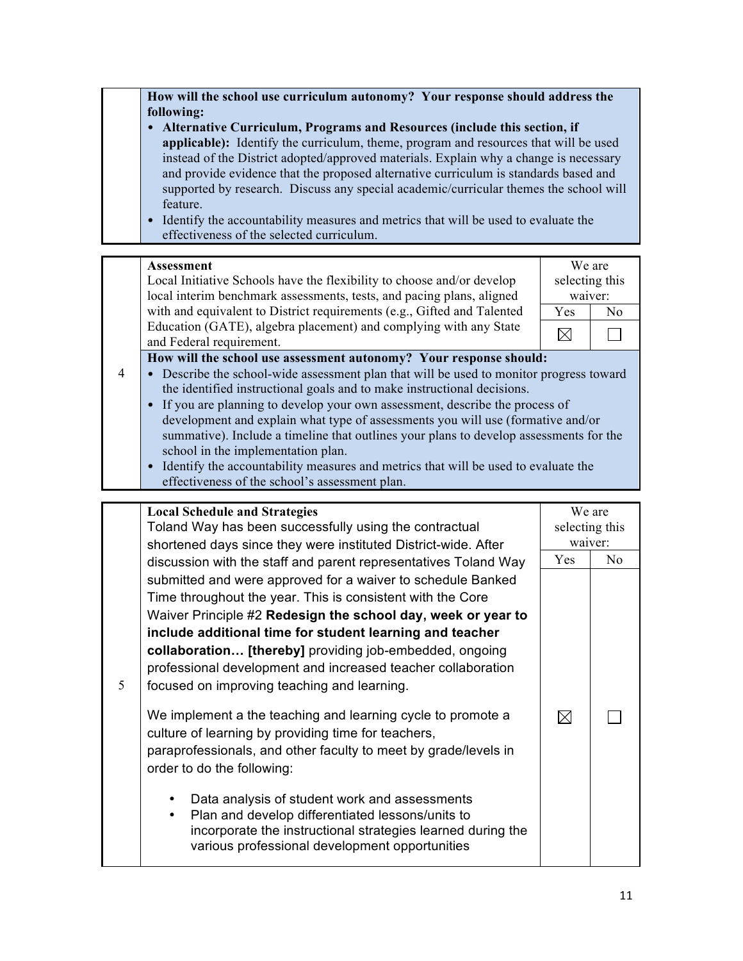**How will the school use curriculum autonomy? Your response should address the following:**

- **Alternative Curriculum, Programs and Resources (include this section, if applicable):** Identify the curriculum, theme, program and resources that will be used instead of the District adopted/approved materials. Explain why a change is necessary and provide evidence that the proposed alternative curriculum is standards based and supported by research. Discuss any special academic/curricular themes the school will feature.
- Identify the accountability measures and metrics that will be used to evaluate the effectiveness of the selected curriculum.

#### **Assessment** We are selecting this Local Initiative Schools have the flexibility to choose and/or develop local interim benchmark assessments, tests, and pacing plans, aligned waiver: with and equivalent to District requirements (e.g., Gifted and Talented Yes No Education (GATE), algebra placement) and complying with any State  $\boxtimes$  $\Box$ and Federal requirement. **How will the school use assessment autonomy? Your response should:** 4 • Describe the school-wide assessment plan that will be used to monitor progress toward the identified instructional goals and to make instructional decisions. • If you are planning to develop your own assessment, describe the process of development and explain what type of assessments you will use (formative and/or summative). Include a timeline that outlines your plans to develop assessments for the school in the implementation plan.

• Identify the accountability measures and metrics that will be used to evaluate the effectiveness of the school's assessment plan.

|   | <b>Local Schedule and Strategies</b>                            | We are                    |     |
|---|-----------------------------------------------------------------|---------------------------|-----|
|   | Toland Way has been successfully using the contractual          |                           |     |
|   |                                                                 | selecting this<br>waiver: |     |
|   | shortened days since they were instituted District-wide. After  |                           |     |
|   | discussion with the staff and parent representatives Toland Way | Yes                       | No. |
|   | submitted and were approved for a waiver to schedule Banked     |                           |     |
|   | Time throughout the year. This is consistent with the Core      |                           |     |
|   | Waiver Principle #2 Redesign the school day, week or year to    |                           |     |
|   | include additional time for student learning and teacher        |                           |     |
|   | collaboration [thereby] providing job-embedded, ongoing         |                           |     |
|   | professional development and increased teacher collaboration    |                           |     |
| 5 | focused on improving teaching and learning.                     |                           |     |
|   |                                                                 |                           |     |
|   | We implement a the teaching and learning cycle to promote a     | $\boxtimes$               |     |
|   | culture of learning by providing time for teachers,             |                           |     |
|   | paraprofessionals, and other faculty to meet by grade/levels in |                           |     |
|   | order to do the following:                                      |                           |     |
|   |                                                                 |                           |     |
|   | Data analysis of student work and assessments                   |                           |     |
|   | Plan and develop differentiated lessons/units to                |                           |     |
|   | incorporate the instructional strategies learned during the     |                           |     |
|   | various professional development opportunities                  |                           |     |
|   |                                                                 |                           |     |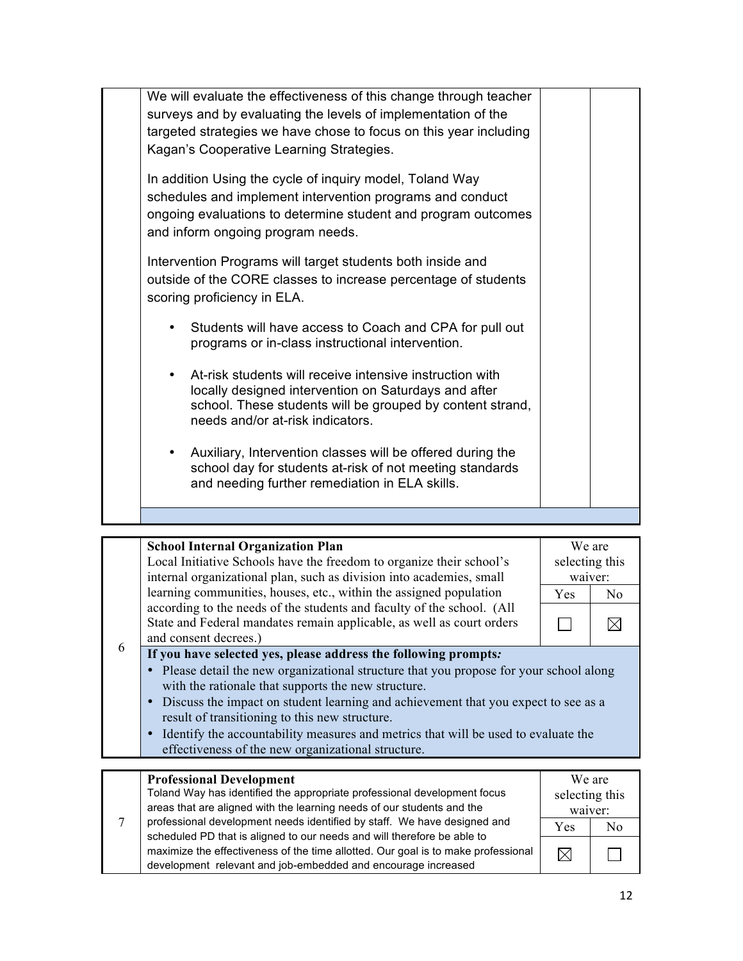| We will evaluate the effectiveness of this change through teacher<br>surveys and by evaluating the levels of implementation of the<br>targeted strategies we have chose to focus on this year including<br>Kagan's Cooperative Learning Strategies. |  |
|-----------------------------------------------------------------------------------------------------------------------------------------------------------------------------------------------------------------------------------------------------|--|
| In addition Using the cycle of inquiry model, Toland Way<br>schedules and implement intervention programs and conduct<br>ongoing evaluations to determine student and program outcomes<br>and inform ongoing program needs.                         |  |
| Intervention Programs will target students both inside and<br>outside of the CORE classes to increase percentage of students<br>scoring proficiency in ELA.                                                                                         |  |
| Students will have access to Coach and CPA for pull out<br>$\bullet$<br>programs or in-class instructional intervention.                                                                                                                            |  |
| At-risk students will receive intensive instruction with<br>$\bullet$<br>locally designed intervention on Saturdays and after<br>school. These students will be grouped by content strand,<br>needs and/or at-risk indicators.                      |  |
| Auxiliary, Intervention classes will be offered during the<br>٠<br>school day for students at-risk of not meeting standards<br>and needing further remediation in ELA skills.                                                                       |  |
|                                                                                                                                                                                                                                                     |  |

|   | <b>School Internal Organization Plan</b>                                              |                | We are         |
|---|---------------------------------------------------------------------------------------|----------------|----------------|
|   | Local Initiative Schools have the freedom to organize their school's                  | selecting this |                |
|   | internal organizational plan, such as division into academies, small                  | waiver:        |                |
|   | learning communities, houses, etc., within the assigned population                    | <b>Yes</b>     | N <sub>0</sub> |
|   | according to the needs of the students and faculty of the school. (All                |                |                |
|   | State and Federal mandates remain applicable, as well as court orders                 |                |                |
| 6 | and consent decrees.)                                                                 |                |                |
|   | If you have selected yes, please address the following prompts:                       |                |                |
|   | Please detail the new organizational structure that you propose for your school along |                |                |
|   | with the rationale that supports the new structure.                                   |                |                |
|   | Discuss the impact on student learning and achievement that you expect to see as a    |                |                |
|   | result of transitioning to this new structure.                                        |                |                |
|   | Identify the accountability measures and metrics that will be used to evaluate the    |                |                |
|   | effectiveness of the new organizational structure.                                    |                |                |
|   |                                                                                       |                |                |
|   | <b>Professional Development</b>                                                       |                | We are         |

|  | <b>Professional Development</b>                                                   | We are         |    |
|--|-----------------------------------------------------------------------------------|----------------|----|
|  | Toland Way has identified the appropriate professional development focus          | selecting this |    |
|  | areas that are aligned with the learning needs of our students and the            | waiver:        |    |
|  | professional development needs identified by staff. We have designed and          | <b>Yes</b>     | N٥ |
|  | scheduled PD that is aligned to our needs and will therefore be able to           |                |    |
|  | maximize the effectiveness of the time allotted. Our goal is to make professional |                |    |
|  | development relevant and job-embedded and encourage increased                     |                |    |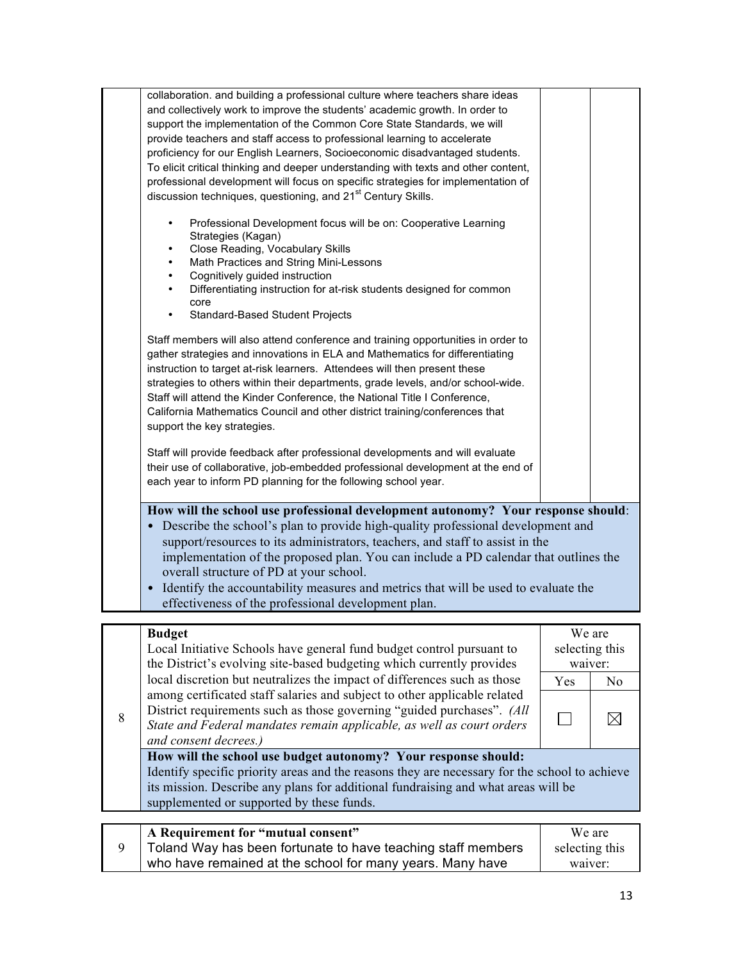|   | A Requirement for "mutual consent"                                                                                                                                                                                                                                                                                                                                                                                                                                                                                                                                     | We are                              |                |
|---|------------------------------------------------------------------------------------------------------------------------------------------------------------------------------------------------------------------------------------------------------------------------------------------------------------------------------------------------------------------------------------------------------------------------------------------------------------------------------------------------------------------------------------------------------------------------|-------------------------------------|----------------|
|   | How will the school use budget autonomy? Your response should:<br>Identify specific priority areas and the reasons they are necessary for the school to achieve<br>its mission. Describe any plans for additional fundraising and what areas will be<br>supplemented or supported by these funds.                                                                                                                                                                                                                                                                      |                                     |                |
| 8 | among certificated staff salaries and subject to other applicable related<br>District requirements such as those governing "guided purchases". (All<br>State and Federal mandates remain applicable, as well as court orders<br>and consent decrees.)                                                                                                                                                                                                                                                                                                                  |                                     | $\bowtie$      |
|   | local discretion but neutralizes the impact of differences such as those                                                                                                                                                                                                                                                                                                                                                                                                                                                                                               | Yes                                 | N <sub>0</sub> |
|   | <b>Budget</b><br>Local Initiative Schools have general fund budget control pursuant to<br>the District's evolving site-based budgeting which currently provides                                                                                                                                                                                                                                                                                                                                                                                                        | We are<br>selecting this<br>waiver: |                |
|   | effectiveness of the professional development plan.                                                                                                                                                                                                                                                                                                                                                                                                                                                                                                                    |                                     |                |
|   | How will the school use professional development autonomy? Your response should:<br>• Describe the school's plan to provide high-quality professional development and<br>support/resources to its administrators, teachers, and staff to assist in the<br>implementation of the proposed plan. You can include a PD calendar that outlines the<br>overall structure of PD at your school.<br>• Identify the accountability measures and metrics that will be used to evaluate the                                                                                      |                                     |                |
|   | Staff will provide feedback after professional developments and will evaluate<br>their use of collaborative, job-embedded professional development at the end of<br>each year to inform PD planning for the following school year.                                                                                                                                                                                                                                                                                                                                     |                                     |                |
|   | Staff members will also attend conference and training opportunities in order to<br>gather strategies and innovations in ELA and Mathematics for differentiating<br>instruction to target at-risk learners. Attendees will then present these<br>strategies to others within their departments, grade levels, and/or school-wide.<br>Staff will attend the Kinder Conference, the National Title I Conference,<br>California Mathematics Council and other district training/conferences that<br>support the key strategies.                                           |                                     |                |
|   | Cognitively guided instruction<br>$\bullet$<br>Differentiating instruction for at-risk students designed for common<br>$\bullet$<br>core<br>Standard-Based Student Projects                                                                                                                                                                                                                                                                                                                                                                                            |                                     |                |
|   | Professional Development focus will be on: Cooperative Learning<br>٠<br>Strategies (Kagan)<br>Close Reading, Vocabulary Skills<br>Math Practices and String Mini-Lessons<br>$\bullet$                                                                                                                                                                                                                                                                                                                                                                                  |                                     |                |
|   | and collectively work to improve the students' academic growth. In order to<br>support the implementation of the Common Core State Standards, we will<br>provide teachers and staff access to professional learning to accelerate<br>proficiency for our English Learners, Socioeconomic disadvantaged students.<br>To elicit critical thinking and deeper understanding with texts and other content,<br>professional development will focus on specific strategies for implementation of<br>discussion techniques, questioning, and 21 <sup>st</sup> Century Skills. |                                     |                |
|   | collaboration. and building a professional culture where teachers share ideas                                                                                                                                                                                                                                                                                                                                                                                                                                                                                          |                                     |                |

| A Requirement for "mutual consent"                           | We are         |
|--------------------------------------------------------------|----------------|
| Toland Way has been fortunate to have teaching staff members | selecting this |
| who have remained at the school for many years. Many have    | waiver:        |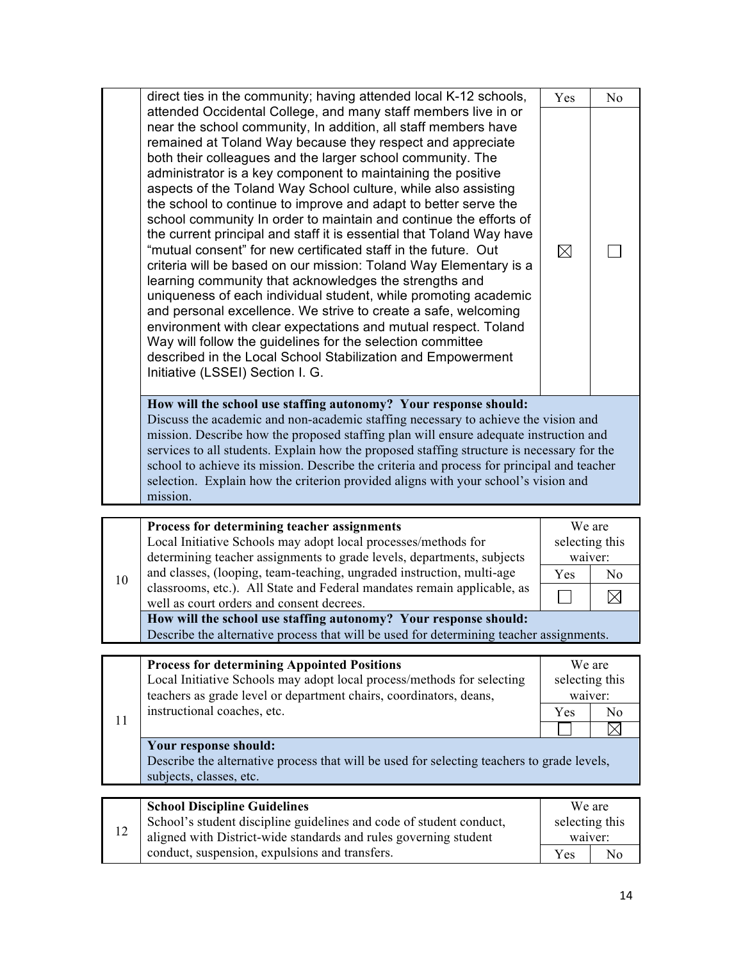|    | direct ties in the community; having attended local K-12 schools,                                                                                                                                                                                                                                                                                                                                                                                                                                                                                                                                                                                                                                                                                                                                                                                                                                                                                                                                                                                                                                                                                                                       | Yes            | N <sub>0</sub> |
|----|-----------------------------------------------------------------------------------------------------------------------------------------------------------------------------------------------------------------------------------------------------------------------------------------------------------------------------------------------------------------------------------------------------------------------------------------------------------------------------------------------------------------------------------------------------------------------------------------------------------------------------------------------------------------------------------------------------------------------------------------------------------------------------------------------------------------------------------------------------------------------------------------------------------------------------------------------------------------------------------------------------------------------------------------------------------------------------------------------------------------------------------------------------------------------------------------|----------------|----------------|
|    | attended Occidental College, and many staff members live in or<br>near the school community, In addition, all staff members have<br>remained at Toland Way because they respect and appreciate<br>both their colleagues and the larger school community. The<br>administrator is a key component to maintaining the positive<br>aspects of the Toland Way School culture, while also assisting<br>the school to continue to improve and adapt to better serve the<br>school community In order to maintain and continue the efforts of<br>the current principal and staff it is essential that Toland Way have<br>"mutual consent" for new certificated staff in the future. Out<br>criteria will be based on our mission: Toland Way Elementary is a<br>learning community that acknowledges the strengths and<br>uniqueness of each individual student, while promoting academic<br>and personal excellence. We strive to create a safe, welcoming<br>environment with clear expectations and mutual respect. Toland<br>Way will follow the guidelines for the selection committee<br>described in the Local School Stabilization and Empowerment<br>Initiative (LSSEI) Section I. G. | $\boxtimes$    |                |
|    | How will the school use staffing autonomy? Your response should:<br>Discuss the academic and non-academic staffing necessary to achieve the vision and<br>mission. Describe how the proposed staffing plan will ensure adequate instruction and<br>services to all students. Explain how the proposed staffing structure is necessary for the<br>school to achieve its mission. Describe the criteria and process for principal and teacher<br>selection. Explain how the criterion provided aligns with your school's vision and<br>mission.                                                                                                                                                                                                                                                                                                                                                                                                                                                                                                                                                                                                                                           |                |                |
|    |                                                                                                                                                                                                                                                                                                                                                                                                                                                                                                                                                                                                                                                                                                                                                                                                                                                                                                                                                                                                                                                                                                                                                                                         |                |                |
|    | Process for determining teacher assignments                                                                                                                                                                                                                                                                                                                                                                                                                                                                                                                                                                                                                                                                                                                                                                                                                                                                                                                                                                                                                                                                                                                                             | We are         |                |
|    | Local Initiative Schools may adopt local processes/methods for                                                                                                                                                                                                                                                                                                                                                                                                                                                                                                                                                                                                                                                                                                                                                                                                                                                                                                                                                                                                                                                                                                                          | selecting this |                |
|    | determining teacher assignments to grade levels, departments, subjects                                                                                                                                                                                                                                                                                                                                                                                                                                                                                                                                                                                                                                                                                                                                                                                                                                                                                                                                                                                                                                                                                                                  | waiver:        |                |
| 10 | and classes, (looping, team-teaching, ungraded instruction, multi-age                                                                                                                                                                                                                                                                                                                                                                                                                                                                                                                                                                                                                                                                                                                                                                                                                                                                                                                                                                                                                                                                                                                   | Yes            | N <sub>o</sub> |
|    | classrooms, etc.). All State and Federal mandates remain applicable, as                                                                                                                                                                                                                                                                                                                                                                                                                                                                                                                                                                                                                                                                                                                                                                                                                                                                                                                                                                                                                                                                                                                 |                | ↖↗             |

**How will the school use staffing autonomy? Your response should:** Describe the alternative process that will be used for determining teacher assignments.

well as court orders and consent decrees.

conduct, suspension, expulsions and transfers.

|    | <b>Process for determining Appointed Positions</b>                                         | We are         |    |
|----|--------------------------------------------------------------------------------------------|----------------|----|
|    | Local Initiative Schools may adopt local process/methods for selecting                     | selecting this |    |
|    | teachers as grade level or department chairs, coordinators, deans,                         | waiver:        |    |
|    | instructional coaches, etc.                                                                | <b>Yes</b>     | No |
| 11 |                                                                                            |                |    |
|    | Your response should:                                                                      |                |    |
|    | Describe the alternative process that will be used for selecting teachers to grade levels, |                |    |
|    | subjects, classes, etc.                                                                    |                |    |
|    |                                                                                            |                |    |
|    | <b>School Discipline Guidelines</b>                                                        | We are         |    |
|    | School's student discipline guidelines and code of student conduct,                        | selecting this |    |
| 12 | aligned with District-wide standards and rules governing student                           | waiver:        |    |

14

 $\boxtimes$ 

 $\Box$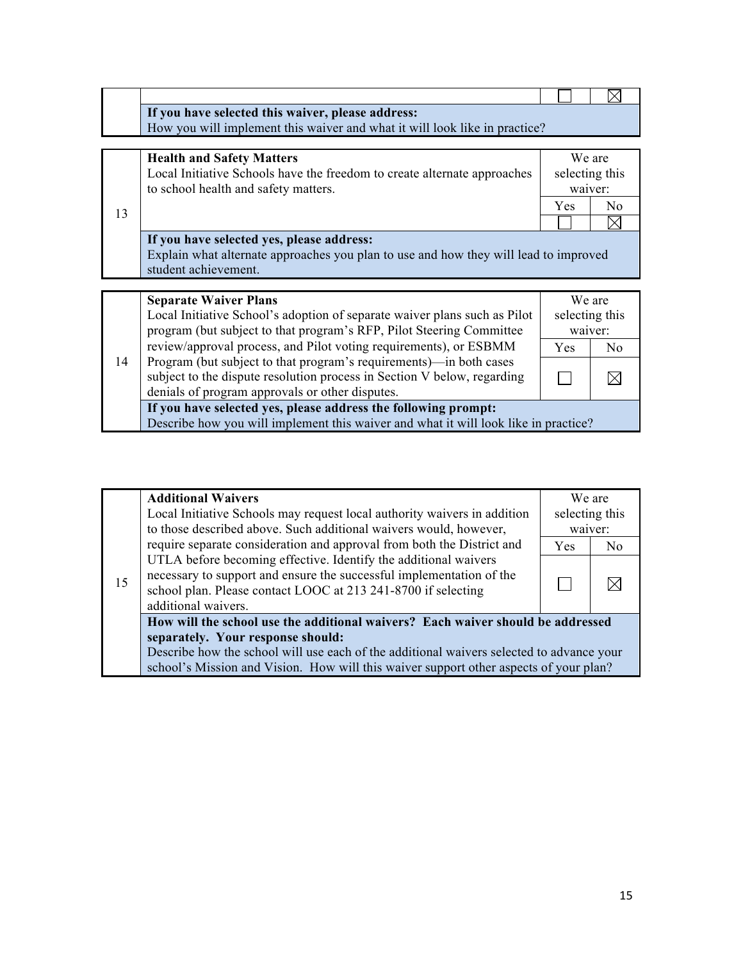|    | If you have selected this waiver, please address:<br>How you will implement this waiver and what it will look like in practice?                                                                  |                                     |                                            |
|----|--------------------------------------------------------------------------------------------------------------------------------------------------------------------------------------------------|-------------------------------------|--------------------------------------------|
| 13 | <b>Health and Safety Matters</b><br>Local Initiative Schools have the freedom to create alternate approaches<br>to school health and safety matters.                                             | Yes                                 | We are<br>selecting this<br>waiver:<br>No. |
|    | If you have selected yes, please address:<br>Explain what alternate approaches you plan to use and how they will lead to improved<br>student achievement.                                        |                                     |                                            |
|    |                                                                                                                                                                                                  |                                     |                                            |
|    | <b>Separate Waiver Plans</b><br>Local Initiative School's adoption of separate waiver plans such as Pilot<br>program (but subject to that program's RFP, Pilot Steering Committee                | We are<br>selecting this<br>waiver: |                                            |
|    | review/approval process, and Pilot voting requirements), or ESBMM                                                                                                                                | <b>Yes</b>                          | N <sub>0</sub>                             |
| 14 | Program (but subject to that program's requirements)—in both cases<br>subject to the dispute resolution process in Section V below, regarding<br>denials of program approvals or other disputes. |                                     |                                            |
|    | If you have selected yes, please address the following prompt:<br>Describe how you will implement this waiver and what it will look like in practice?                                            |                                     |                                            |

|    | <b>Additional Waivers</b>                                                                |            | We are         |  |  |
|----|------------------------------------------------------------------------------------------|------------|----------------|--|--|
| 15 | Local Initiative Schools may request local authority waivers in addition                 |            | selecting this |  |  |
|    | to those described above. Such additional waivers would, however,                        |            | waiver:        |  |  |
|    | require separate consideration and approval from both the District and                   | <b>Yes</b> | No             |  |  |
|    | UTLA before becoming effective. Identify the additional waivers                          |            |                |  |  |
|    | necessary to support and ensure the successful implementation of the                     |            |                |  |  |
|    | school plan. Please contact LOOC at 213 241-8700 if selecting                            |            |                |  |  |
|    | additional waivers.                                                                      |            |                |  |  |
|    | How will the school use the additional waivers? Each waiver should be addressed          |            |                |  |  |
|    | separately. Your response should:                                                        |            |                |  |  |
|    | Describe how the school will use each of the additional waivers selected to advance your |            |                |  |  |
|    | school's Mission and Vision. How will this waiver support other aspects of your plan?    |            |                |  |  |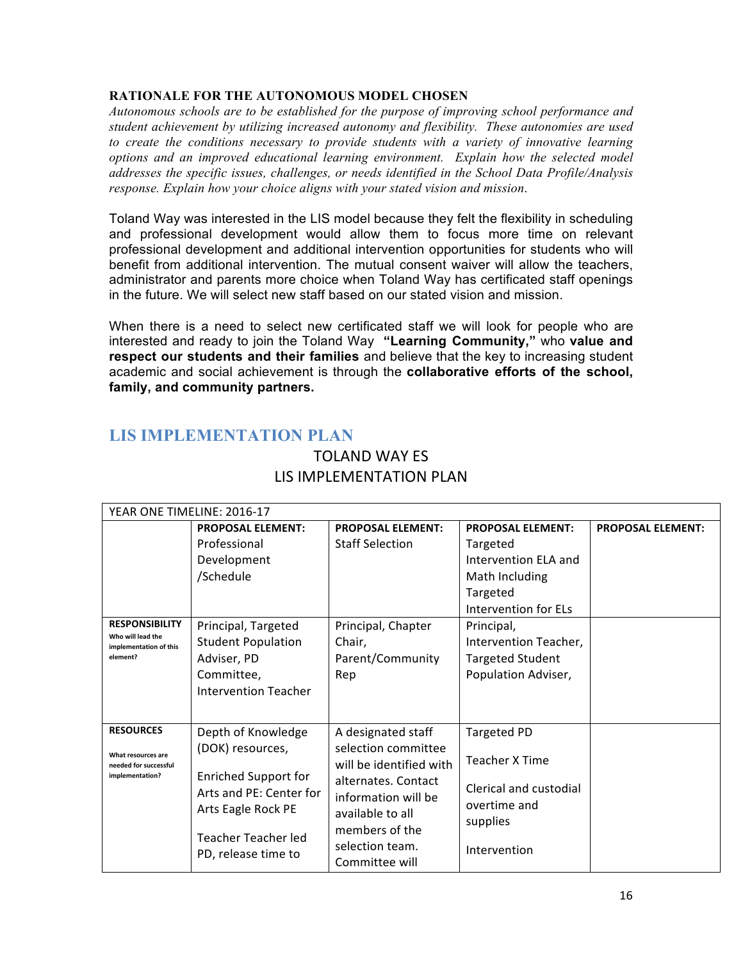#### **RATIONALE FOR THE AUTONOMOUS MODEL CHOSEN**

*Autonomous schools are to be established for the purpose of improving school performance and student achievement by utilizing increased autonomy and flexibility. These autonomies are used to create the conditions necessary to provide students with a variety of innovative learning options and an improved educational learning environment. Explain how the selected model addresses the specific issues, challenges, or needs identified in the School Data Profile/Analysis response. Explain how your choice aligns with your stated vision and mission*.

Toland Way was interested in the LIS model because they felt the flexibility in scheduling and professional development would allow them to focus more time on relevant professional development and additional intervention opportunities for students who will benefit from additional intervention. The mutual consent waiver will allow the teachers, administrator and parents more choice when Toland Way has certificated staff openings in the future. We will select new staff based on our stated vision and mission.

When there is a need to select new certificated staff we will look for people who are interested and ready to join the Toland Way **"Learning Community,"** who **value and respect our students and their families** and believe that the key to increasing student academic and social achievement is through the **collaborative efforts of the school, family, and community partners.**

## **LIS IMPLEMENTATION PLAN**

| <b>PROPOSAL ELEMENT:</b><br><b>PROPOSAL ELEMENT:</b><br><b>PROPOSAL ELEMENT:</b><br><b>PROPOSAL ELEMENT:</b> |  |
|--------------------------------------------------------------------------------------------------------------|--|
| Professional<br><b>Staff Selection</b><br>Targeted                                                           |  |
| Intervention ELA and<br>Development                                                                          |  |
| /Schedule<br>Math Including                                                                                  |  |
| Targeted                                                                                                     |  |
| Intervention for ELs                                                                                         |  |
| <b>RESPONSIBILITY</b><br>Principal, Targeted<br>Principal, Chapter<br>Principal,                             |  |
| Who will lead the<br><b>Student Population</b><br>Chair,<br>Intervention Teacher,<br>implementation of this  |  |
| Parent/Community<br>element?<br>Adviser, PD<br><b>Targeted Student</b>                                       |  |
| Committee,<br>Population Adviser,<br>Rep                                                                     |  |
| Intervention Teacher                                                                                         |  |
|                                                                                                              |  |
| <b>RESOURCES</b><br>Depth of Knowledge<br>Targeted PD<br>A designated staff                                  |  |
| (DOK) resources,<br>selection committee                                                                      |  |
| What resources are<br><b>Teacher X Time</b><br>will be identified with<br>needed for successful              |  |
| <b>Enriched Support for</b><br>implementation?<br>alternates. Contact                                        |  |
| Clerical and custodial<br>Arts and PE: Center for<br>information will be                                     |  |
| overtime and<br>Arts Eagle Rock PE<br>available to all                                                       |  |
| supplies<br>members of the                                                                                   |  |
| Teacher Teacher led<br>selection team.                                                                       |  |
| Intervention<br>PD, release time to<br>Committee will                                                        |  |

### TOLAND WAY ES LIS IMPLEMENTATION PLAN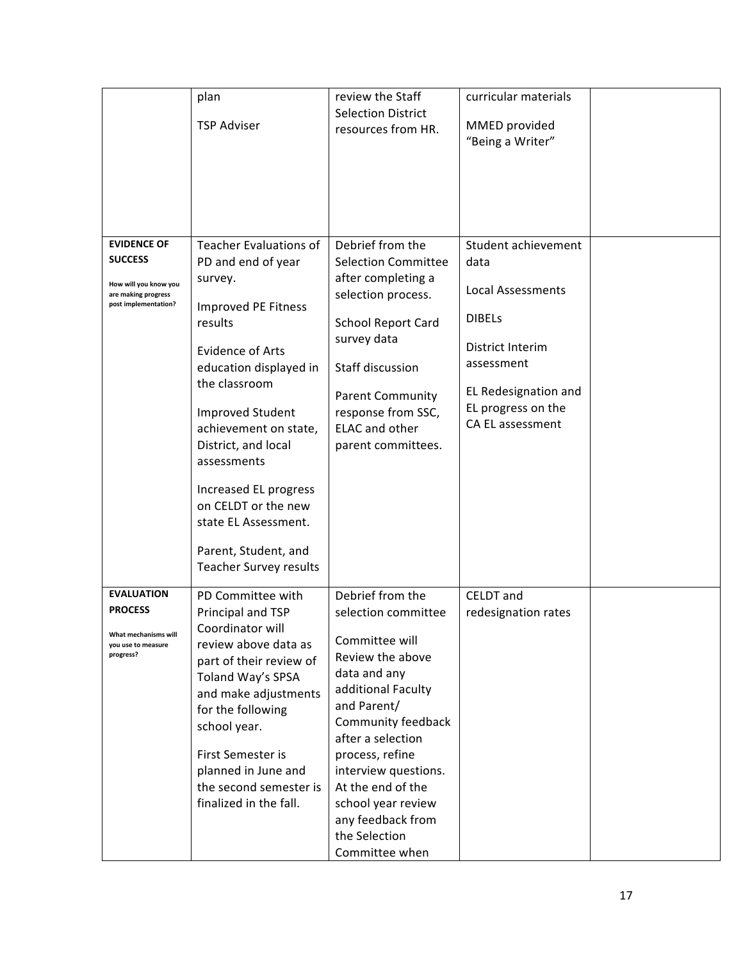|                                              | plan                          | review the Staff           | curricular materials     |  |
|----------------------------------------------|-------------------------------|----------------------------|--------------------------|--|
|                                              |                               | <b>Selection District</b>  |                          |  |
|                                              | <b>TSP Adviser</b>            | resources from HR.         | MMED provided            |  |
|                                              |                               |                            | "Being a Writer"         |  |
|                                              |                               |                            |                          |  |
|                                              |                               |                            |                          |  |
|                                              |                               |                            |                          |  |
|                                              |                               |                            |                          |  |
|                                              |                               |                            |                          |  |
| <b>EVIDENCE OF</b>                           | Teacher Evaluations of        | Debrief from the           | Student achievement      |  |
| <b>SUCCESS</b>                               | PD and end of year            | <b>Selection Committee</b> | data                     |  |
|                                              | survey.                       | after completing a         |                          |  |
| How will you know you<br>are making progress |                               | selection process.         | <b>Local Assessments</b> |  |
| post implementation?                         | Improved PE Fitness           |                            |                          |  |
|                                              | results                       | <b>School Report Card</b>  | <b>DIBELS</b>            |  |
|                                              |                               | survey data                |                          |  |
|                                              | <b>Evidence of Arts</b>       |                            | District Interim         |  |
|                                              | education displayed in        | Staff discussion           | assessment               |  |
|                                              | the classroom                 |                            | EL Redesignation and     |  |
|                                              |                               | <b>Parent Community</b>    | EL progress on the       |  |
|                                              | <b>Improved Student</b>       | response from SSC,         | CA EL assessment         |  |
|                                              | achievement on state,         | <b>ELAC</b> and other      |                          |  |
|                                              | District, and local           | parent committees.         |                          |  |
|                                              | assessments                   |                            |                          |  |
|                                              |                               |                            |                          |  |
|                                              | Increased EL progress         |                            |                          |  |
|                                              | on CELDT or the new           |                            |                          |  |
|                                              | state EL Assessment.          |                            |                          |  |
|                                              | Parent, Student, and          |                            |                          |  |
|                                              | <b>Teacher Survey results</b> |                            |                          |  |
|                                              |                               |                            |                          |  |
| <b>EVALUATION</b>                            | PD Committee with             | Debrief from the           | <b>CELDT</b> and         |  |
| <b>PROCESS</b>                               | Principal and TSP             | selection committee        | redesignation rates      |  |
|                                              | Coordinator will              |                            |                          |  |
| What mechanisms will<br>you use to measure   | review above data as          | Committee will             |                          |  |
| progress?                                    | part of their review of       | Review the above           |                          |  |
|                                              | Toland Way's SPSA             | data and any               |                          |  |
|                                              | and make adjustments          | additional Faculty         |                          |  |
|                                              | for the following             | and Parent/                |                          |  |
|                                              | school year.                  | Community feedback         |                          |  |
|                                              |                               | after a selection          |                          |  |
|                                              | First Semester is             | process, refine            |                          |  |
|                                              | planned in June and           | interview questions.       |                          |  |
|                                              | the second semester is        | At the end of the          |                          |  |
|                                              | finalized in the fall.        | school year review         |                          |  |
|                                              |                               | any feedback from          |                          |  |
|                                              |                               | the Selection              |                          |  |
|                                              |                               | Committee when             |                          |  |
|                                              |                               |                            |                          |  |